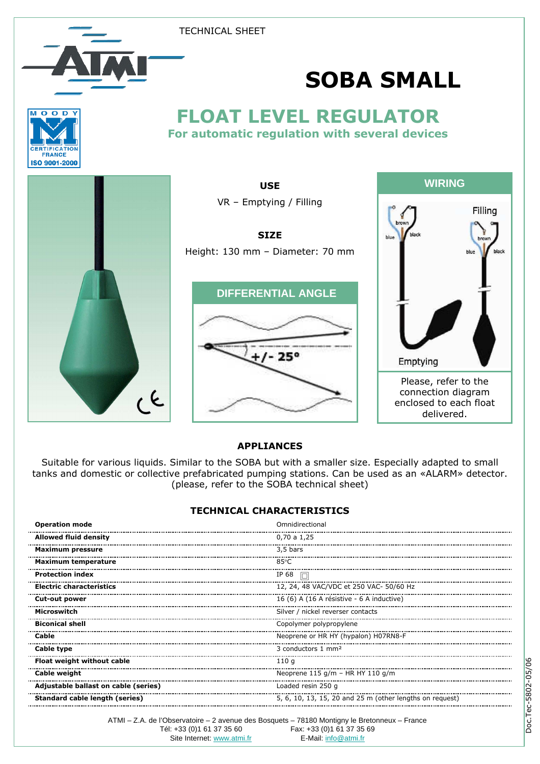TECHNICAL SHEET





## FLOAT LEVEL REGULATOR For automatic regulation with several devices





USE



## APPLIANCES

Suitable for various liquids. Similar to the SOBA but with a smaller size. Especially adapted to small tanks and domestic or collective prefabricated pumping stations. Can be used as an «ALARM» detector. (please, refer to the SOBA technical sheet)

## TECHNICAL CHARACTERISTICS

| <b>Operation mode</b>                | Omnidirectional                                          |
|--------------------------------------|----------------------------------------------------------|
| <b>Allowed fluid density</b>         | 0,70 a 1,25                                              |
| Maximum pressure                     | 3,5 bars                                                 |
| <b>Maximum temperature</b>           | 85°C                                                     |
| <b>Protection index</b>              | IP 68<br>Iп                                              |
| <b>Electric characteristics</b>      | 12, 24, 48 VAC/VDC et 250 VAC- 50/60 Hz                  |
| Cut-out power                        | 16 (6) A (16 A résistive - 6 A inductive)                |
| Microswitch                          | Silver / nickel reverser contacts                        |
| <b>Biconical shell</b>               | Copolymer polypropylene                                  |
| Cable                                | Neoprene or HR HY (hypalon) H07RN8-F                     |
| Cable type                           | 3 conductors 1 mm <sup>2</sup>                           |
| Float weight without cable           | 110 g                                                    |
| Cable weight                         | Neoprene 115 g/m - HR HY 110 g/m                         |
| Adjustable ballast on cable (series) | Loaded resin 250 g                                       |
| Standard cable length (series)       | 5, 6, 10, 13, 15, 20 and 25 m (other lengths on request) |

ATMI – Z.A. de l'Observatoire – 2 avenue des Bosquets – 78180 Montigny le Bretonneux – France Fax: +33 (0)1 61 37 35 69 Site Internet: www.atmi.fr E-Mail: info@atmi.fr